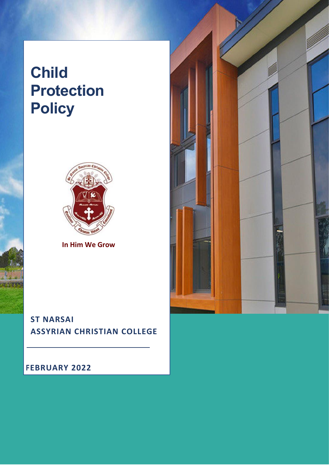# **Child Protection Policy**



**In Him We Grow**

# **ST NARSAI ASSYRIAN CHRISTIAN COLLEGE**

# **FEBRUARY 2022**

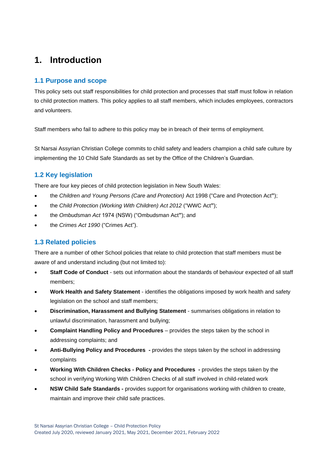# <span id="page-2-0"></span>**1. Introduction**

# **1.1 Purpose and scope**

This policy sets out staff responsibilities for child protection and processes that staff must follow in relation to child protection matters. This policy applies to all staff members, which includes employees, contractors and volunteers.

Staff members who fail to adhere to this policy may be in breach of their terms of employment.

St Narsai Assyrian Christian College commits to child safety and leaders champion a child safe culture by implementing the 10 Child Safe Standards as set by the Office of the Children's Guardian.

# **1.2 Key legislation**

There are four key pieces of child protection legislation in New South Wales:

- the *Children and Young Persons (Care and Protection)* Act 1998 ("Care and Protection Act**"**);
- the *Child Protection (Working With Children) Act 2012* ("WWC Act**"**);
- the *Ombudsman Act* 1974 (NSW) ("Ombudsman Act**"**); and
- the *Crimes Act 1990* ("Crimes Act").

# **1.3 Related policies**

There are a number of other School policies that relate to child protection that staff members must be aware of and understand including (but not limited to):

- **Staff Code of Conduct** sets out information about the standards of behaviour expected of all staff members;
- **Work Health and Safety Statement** identifies the obligations imposed by work health and safety legislation on the school and staff members;
- **Discrimination, Harassment and Bullying Statement** summarises obligations in relation to unlawful discrimination, harassment and bullying;
- **Complaint Handling Policy and Procedures** provides the steps taken by the school in addressing complaints; and
- **Anti-Bullying Policy and Procedures -** provides the steps taken by the school in addressing complaints
- **Working With Children Checks - Policy and Procedures -** provides the steps taken by the school in verifying Working With Children Checks of all staff involved in child-related work
- **NSW Child Safe Standards -** provides support for organisations working with children to create, maintain and improve their child safe practices.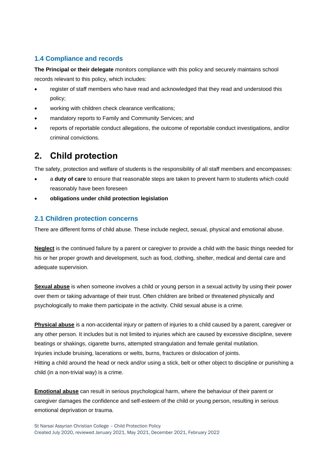# **1.4 Compliance and records**

**The Principal or their delegate** monitors compliance with this policy and securely maintains school records relevant to this policy, which includes:

- register of staff members who have read and acknowledged that they read and understood this policy;
- working with children check clearance verifications;
- mandatory reports to Family and Community Services; and
- reports of reportable conduct allegations, the outcome of reportable conduct investigations, and/or criminal convictions.

# <span id="page-3-0"></span>**2. Child protection**

The safety, protection and welfare of students is the responsibility of all staff members and encompasses:

- a **duty of care** to ensure that reasonable steps are taken to prevent harm to students which could reasonably have been foreseen
- **obligations under child protection legislation**

# **2.1 Children protection concerns**

There are different forms of child abuse. These include neglect, sexual, physical and emotional abuse.

**Neglect** is the continued failure by a parent or caregiver to provide a child with the basic things needed for his or her proper growth and development, such as food, clothing, shelter, medical and dental care and adequate supervision.

**Sexual abuse** is when someone involves a child or young person in a sexual activity by using their power over them or taking advantage of their trust. Often children are bribed or threatened physically and psychologically to make them participate in the activity. Child sexual abuse is a crime.

**Physical abuse** is a non-accidental injury or pattern of injuries to a child caused by a parent, caregiver or any other person. It includes but is not limited to injuries which are caused by excessive discipline, severe beatings or shakings, cigarette burns, attempted strangulation and female genital mutilation. Injuries include bruising, lacerations or welts, burns, fractures or dislocation of joints. Hitting a child around the head or neck and/or using a stick, belt or other object to discipline or punishing a child (in a non-trivial way) is a crime.

**Emotional abuse** can result in serious psychological harm, where the behaviour of their parent or caregiver damages the confidence and self-esteem of the child or young person, resulting in serious emotional deprivation or trauma.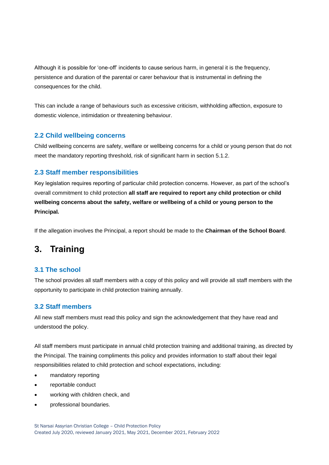Although it is possible for 'one-off' incidents to cause serious harm, in general it is the frequency, persistence and duration of the parental or carer behaviour that is instrumental in defining the consequences for the child.

This can include a range of behaviours such as excessive criticism, withholding affection, exposure to domestic violence, intimidation or threatening behaviour.

### **2.2 Child wellbeing concerns**

Child wellbeing concerns are safety, welfare or wellbeing concerns for a child or young person that do not meet the mandatory reporting threshold, risk of significant harm in section 5.1.2.

# **2.3 Staff member responsibilities**

Key legislation requires reporting of particular child protection concerns. However, as part of the school's overall commitment to child protection **all staff are required to report any child protection or child wellbeing concerns about the safety, welfare or wellbeing of a child or young person to the Principal***.* 

If the allegation involves the Principal, a report should be made to the **Chairman of the School Board**.

# <span id="page-4-0"></span>**3. Training**

### **3.1 The school**

The school provides all staff members with a copy of this policy and will provide all staff members with the opportunity to participate in child protection training annually.

# **3.2 Staff members**

All new staff members must read this policy and sign the acknowledgement that they have read and understood the policy.

All staff members must participate in annual child protection training and additional training, as directed by the Principal. The training compliments this policy and provides information to staff about their legal responsibilities related to child protection and school expectations, including:

- mandatory reporting
- reportable conduct
- working with children check, and
- professional boundaries.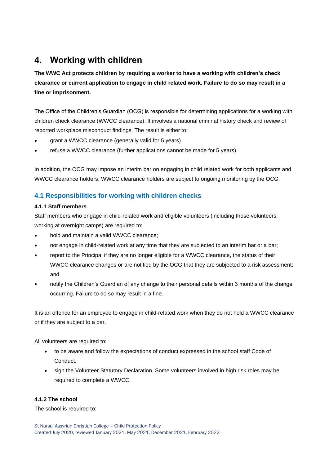# <span id="page-5-0"></span>**4. Working with children**

**The WWC Act protects children by requiring a worker to have a working with children's check clearance or current application to engage in child related work. Failure to do so may result in a fine or imprisonment.**

The Office of the Children's Guardian (OCG) is responsible for determining applications for a working with children check clearance (WWCC clearance). It involves a national criminal history check and review of reported workplace misconduct findings. The result is either to:

- grant a WWCC clearance (generally valid for 5 years)
- refuse a WWCC clearance (further applications cannot be made for 5 years)

In addition, the OCG may impose an interim bar on engaging in child related work for both applicants and WWCC clearance holders. WWCC clearance holders are subject to ongoing monitoring by the OCG.

# **4.1 Responsibilities for working with children checks**

#### **4.1.1 Staff members**

Staff members who engage in child-related work and eligible volunteers (including those volunteers working at overnight camps) are required to:

- hold and maintain a valid WWCC clearance;
- not engage in child-related work at any time that they are subjected to an interim bar or a bar;
- report to the Principal if they are no longer eligible for a WWCC clearance, the status of their WWCC clearance changes or are notified by the OCG that they are subjected to a risk assessment; and
- notify the Children's Guardian of any change to their personal details within 3 months of the change occurring. Failure to do so may result in a fine.

It is an offence for an employee to engage in child-related work when they do not hold a WWCC clearance or if they are subject to a bar.

All volunteers are required to:

- to be aware and follow the expectations of conduct expressed in the school staff Code of Conduct.
- sign the Volunteer Statutory Declaration. Some volunteers involved in high risk roles may be required to complete a WWCC.

### **4.1.2 The school**

The school is required to: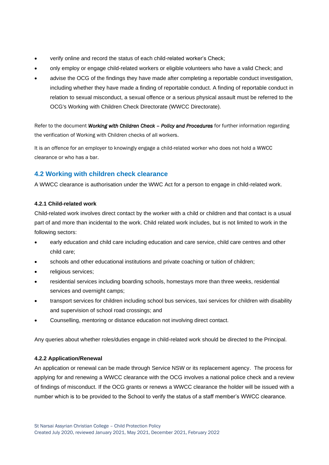- verify online and record the status of each child-related worker's Check;
- only employ or engage child-related workers or eligible volunteers who have a valid Check; and
- advise the OCG of the findings they have made after completing a reportable conduct investigation, including whether they have made a finding of reportable conduct. A finding of reportable conduct in relation to sexual misconduct, a sexual offence or a serious physical assault must be referred to the OCG's Working with Children Check Directorate (WWCC Directorate).

Refer to the document *Working with Children Check – Policy and Procedures* for further information regarding the verification of Working with Children checks of all workers.

It is an offence for an employer to knowingly engage a child-related worker who does not hold a WWCC clearance or who has a bar.

# **4.2 Working with children check clearance**

A WWCC clearance is authorisation under the WWC Act for a person to engage in child-related work.

#### **4.2.1 Child-related work**

Child-related work involves direct contact by the worker with a child or children and that contact is a usual part of and more than incidental to the work. Child related work includes, but is not limited to work in the following sectors:

- early education and child care including education and care service, child care centres and other child care;
- schools and other educational institutions and private coaching or tuition of children;
- religious services;
- residential services including boarding schools, homestays more than three weeks, residential services and overnight camps;
- transport services for children including school bus services, taxi services for children with disability and supervision of school road crossings; and
- Counselling, mentoring or distance education not involving direct contact.

Any queries about whether roles/duties engage in child-related work should be directed to the Principal.

#### **4.2.2 Application/Renewal**

An application or renewal can be made through Service NSW or its replacement agency. The process for applying for and renewing a WWCC clearance with the OCG involves a national police check and a review of findings of misconduct. If the OCG grants or renews a WWCC clearance the holder will be issued with a number which is to be provided to the School to verify the status of a staff member's WWCC clearance.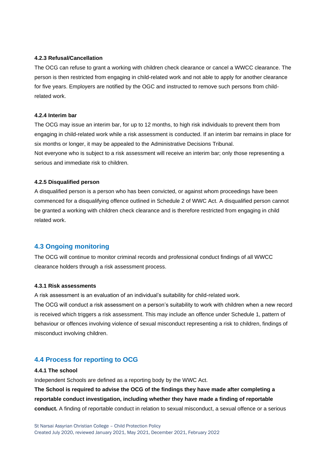#### **4.2.3 Refusal/Cancellation**

The OCG can refuse to grant a working with children check clearance or cancel a WWCC clearance. The person is then restricted from engaging in child-related work and not able to apply for another clearance for five years. Employers are notified by the OGC and instructed to remove such persons from childrelated work.

#### **4.2.4 Interim bar**

The OCG may issue an interim bar, for up to 12 months, to high risk individuals to prevent them from engaging in child-related work while a risk assessment is conducted. If an interim bar remains in place for six months or longer, it may be appealed to the Administrative Decisions Tribunal. Not everyone who is subject to a risk assessment will receive an interim bar; only those representing a serious and immediate risk to children.

#### **4.2.5 Disqualified person**

A disqualified person is a person who has been convicted, or against whom proceedings have been commenced for a disqualifying offence outlined in Schedule 2 of WWC Act. A disqualified person cannot be granted a working with children check clearance and is therefore restricted from engaging in child related work.

#### **4.3 Ongoing monitoring**

The OCG will continue to monitor criminal records and professional conduct findings of all WWCC clearance holders through a risk assessment process.

#### **4.3.1 Risk assessments**

A risk assessment is an evaluation of an individual's suitability for child-related work.

The OCG will conduct a risk assessment on a person's suitability to work with children when a new record is received which triggers a risk assessment. This may include an offence under Schedule 1, pattern of behaviour or offences involving violence of sexual misconduct representing a risk to children, findings of misconduct involving children.

#### **4.4 Process for reporting to OCG**

#### **4.4.1 The school**

Independent Schools are defined as a reporting body by the WWC Act.

**The School is required to advise the OCG of the findings they have made after completing a reportable conduct investigation, including whether they have made a finding of reportable conduct.** A finding of reportable conduct in relation to sexual misconduct, a sexual offence or a serious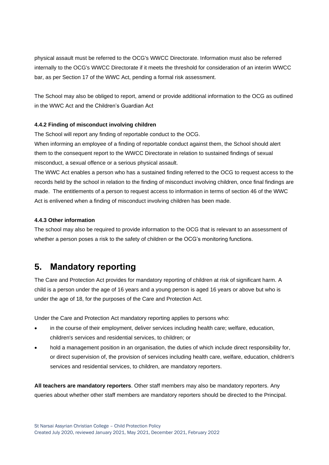physical assault must be referred to the OCG's WWCC Directorate. Information must also be referred internally to the OCG's WWCC Directorate if it meets the threshold for consideration of an interim WWCC bar, as per Section 17 of the WWC Act, pending a formal risk assessment.

The School may also be obliged to report, amend or provide additional information to the OCG as outlined in the WWC Act and the Children's Guardian Act

#### **4.4.2 Finding of misconduct involving children**

The School will report any finding of reportable conduct to the OCG.

When informing an employee of a finding of reportable conduct against them, the School should alert them to the consequent report to the WWCC Directorate in relation to sustained findings of sexual misconduct, a sexual offence or a serious physical assault.

The WWC Act enables a person who has a sustained finding referred to the OCG to request access to the records held by the school in relation to the finding of misconduct involving children, once final findings are made. The entitlements of a person to request access to information in terms of section 46 of the WWC Act is enlivened when a finding of misconduct involving children has been made.

#### **4.4.3 Other information**

The school may also be required to provide information to the OCG that is relevant to an assessment of whether a person poses a risk to the safety of children or the OCG's monitoring functions.

# <span id="page-8-0"></span>**5. Mandatory reporting**

The Care and Protection Act provides for mandatory reporting of children at risk of significant harm. A child is a person under the age of 16 years and a young person is aged 16 years or above but who is under the age of 18, for the purposes of the Care and Protection Act.

Under the Care and Protection Act mandatory reporting applies to persons who:

- in the course of their employment, deliver services including health care; welfare, education, children's services and residential services, to children; or
- hold a management position in an organisation, the duties of which include direct responsibility for, or direct supervision of, the provision of services including health care, welfare, education, children's services and residential services, to children, are mandatory reporters.

**All teachers are mandatory reporters**. Other staff members may also be mandatory reporters. Any queries about whether other staff members are mandatory reporters should be directed to the Principal.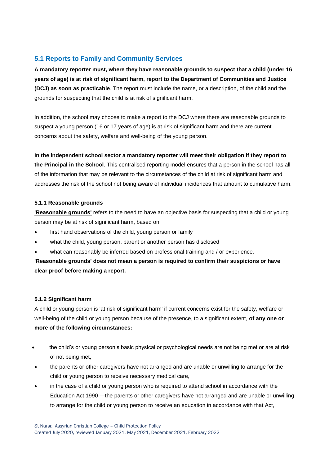# **5.1 Reports to Family and Community Services**

**A mandatory reporter must, where they have reasonable grounds to suspect that a child (under 16 years of age) is at risk of significant harm, report to the Department of Communities and Justice (DCJ) as soon as practicable**. The report must include the name, or a description, of the child and the grounds for suspecting that the child is at risk of significant harm.

In addition, the school may choose to make a report to the DCJ where there are reasonable grounds to suspect a young person (16 or 17 years of age) is at risk of significant harm and there are current concerns about the safety, welfare and well-being of the young person.

**In the independent school sector a mandatory reporter will meet their obligation if they report to the Principal in the School**. This centralised reporting model ensures that a person in the school has all of the information that may be relevant to the circumstances of the child at risk of significant harm and addresses the risk of the school not being aware of individual incidences that amount to cumulative harm.

#### **5.1.1 Reasonable grounds**

**'Reasonable grounds'** refers to the need to have an objective basis for suspecting that a child or young person may be at risk of significant harm, based on:

- first hand observations of the child, young person or family
- what the child, young person, parent or another person has disclosed
- what can reasonably be inferred based on professional training and / or experience.

**'Reasonable grounds' does not mean a person is required to confirm their suspicions or have clear proof before making a report.**

### **5.1.2 Significant harm**

A child or young person is 'at risk of significant harm' if current concerns exist for the safety, welfare or well-being of the child or young person because of the presence, to a significant extent, **of any one or more of the following circumstances:**

- the child's or young person's basic physical or psychological needs are not being met or are at risk of not being met,
- the parents or other caregivers have not arranged and are unable or unwilling to arrange for the child or young person to receive necessary medical care,
- in the case of a child or young person who is required to attend school in accordance with the Education Act 1990 —the parents or other caregivers have not arranged and are unable or unwilling to arrange for the child or young person to receive an education in accordance with that Act,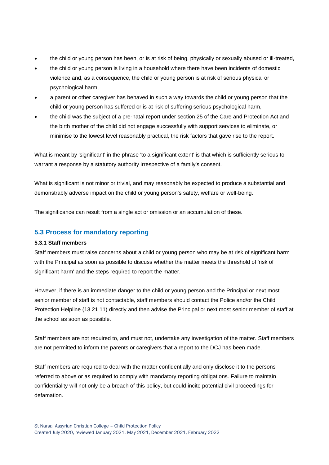- the child or young person has been, or is at risk of being, physically or sexually abused or ill-treated,
- the child or young person is living in a household where there have been incidents of domestic violence and, as a consequence, the child or young person is at risk of serious physical or psychological harm,
- a parent or other caregiver has behaved in such a way towards the child or young person that the child or young person has suffered or is at risk of suffering serious psychological harm,
- the child was the subject of a pre-natal report under section 25 of the Care and Protection Act and the birth mother of the child did not engage successfully with support services to eliminate, or minimise to the lowest level reasonably practical, the risk factors that gave rise to the report.

What is meant by 'significant' in the phrase 'to a significant extent' is that which is sufficiently serious to warrant a response by a statutory authority irrespective of a family's consent.

What is significant is not minor or trivial, and may reasonably be expected to produce a substantial and demonstrably adverse impact on the child or young person's safety, welfare or well-being.

The significance can result from a single act or omission or an accumulation of these.

### **5.3 Process for mandatory reporting**

#### **5.3.1 Staff members**

Staff members must raise concerns about a child or young person who may be at risk of significant harm with the Principal as soon as possible to discuss whether the matter meets the threshold of 'risk of significant harm' and the steps required to report the matter.

However, if there is an immediate danger to the child or young person and the Principal or next most senior member of staff is not contactable, staff members should contact the Police and/or the Child Protection Helpline (13 21 11) directly and then advise the Principal or next most senior member of staff at the school as soon as possible.

Staff members are not required to, and must not, undertake any investigation of the matter. Staff members are not permitted to inform the parents or caregivers that a report to the DCJ has been made.

Staff members are required to deal with the matter confidentially and only disclose it to the persons referred to above or as required to comply with mandatory reporting obligations. Failure to maintain confidentiality will not only be a breach of this policy, but could incite potential civil proceedings for defamation.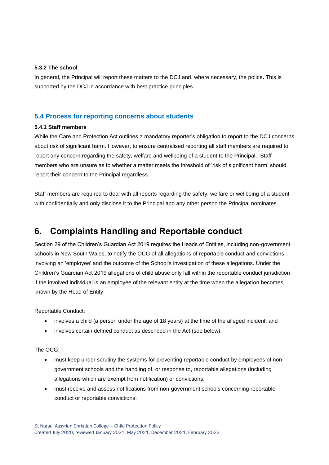#### **5.3.2 The school**

In general, the Principal will report these matters to the DCJ and, where necessary, the police**.** This is supported by the DCJ in accordance with best practice principles.

### **5.4 Process for reporting concerns about students**

#### **5.4.1 Staff members**

While the Care and Protection Act outlines a mandatory reporter's obligation to report to the DCJ concerns about risk of significant harm. However, to ensure centralised reporting all staff members are required to report any concern regarding the safety, welfare and wellbeing of a student to the Principal. Staff members who are unsure as to whether a matter meets the threshold of 'risk of significant harm' should report their concern to the Principal regardless.

Staff members are required to deal with all reports regarding the safety, welfare or wellbeing of a student with confidentially and only disclose it to the Principal and any other person the Principal nominates.

# <span id="page-11-0"></span>**6. Complaints Handling and Reportable conduct**

Section 29 of the Children's Guardian Act 2019 requires the Heads of Entities, including non-government schools in New South Wales, to notify the OCG of all allegations of reportable conduct and convictions involving an 'employee' and the outcome of the School's investigation of these allegations. Under the Children's Guardian Act 2019 allegations of child abuse only fall within the reportable conduct jurisdiction if the involved individual is an employee of the relevant entity at the time when the allegation becomes known by the Head of Entity.

#### Reportable Conduct:

- involves a child (a person under the age of 18 years) at the time of the alleged incident; and
- involves certain defined conduct as described in the Act (see below).

#### The OCG:

- must keep under scrutiny the systems for preventing reportable conduct by employees of nongovernment schools and the handling of, or response to, reportable allegations (including allegations which are exempt from notification) or convictions;
- must receive and assess notifications from non-government schools concerning reportable conduct or reportable convictions;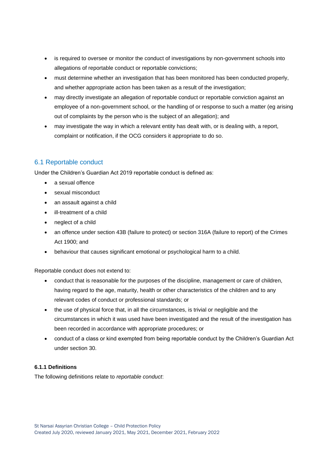- is required to oversee or monitor the conduct of investigations by non-government schools into allegations of reportable conduct or reportable convictions;
- must determine whether an investigation that has been monitored has been conducted properly, and whether appropriate action has been taken as a result of the investigation;
- may directly investigate an allegation of reportable conduct or reportable conviction against an employee of a non-government school, or the handling of or response to such a matter (eg arising out of complaints by the person who is the subject of an allegation); and
- may investigate the way in which a relevant entity has dealt with, or is dealing with, a report, complaint or notification, if the OCG considers it appropriate to do so.

# 6.1 Reportable conduct

Under the Children's Guardian Act 2019 reportable conduct is defined as:

- a sexual offence
- sexual misconduct
- an assault against a child
- ill-treatment of a child
- neglect of a child
- an offence under section 43B (failure to protect) or section 316A (failure to report) of the Crimes Act 1900; and
- behaviour that causes significant emotional or psychological harm to a child.

Reportable conduct does not extend to:

- conduct that is reasonable for the purposes of the discipline, management or care of children, having regard to the age, maturity, health or other characteristics of the children and to any relevant codes of conduct or professional standards; or
- the use of physical force that, in all the circumstances, is trivial or negligible and the circumstances in which it was used have been investigated and the result of the investigation has been recorded in accordance with appropriate procedures; or
- conduct of a class or kind exempted from being reportable conduct by the Children's Guardian Act under section 30.

### **6.1.1 Definitions**

The following definitions relate to *reportable conduct*: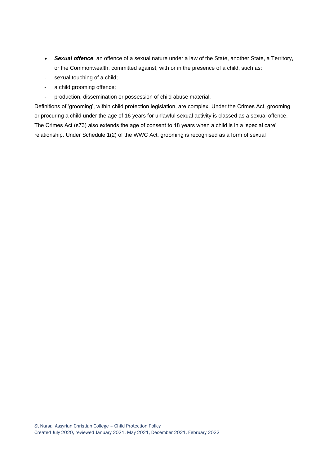- *Sexual offence*: an offence of a sexual nature under a law of the State, another State, a Territory, or the Commonwealth, committed against, with or in the presence of a child, such as:
- sexual touching of a child;
- a child grooming offence;
- production, dissemination or possession of child abuse material.

Definitions of 'grooming', within child protection legislation, are complex. Under the Crimes Act, grooming or procuring a child under the age of 16 years for unlawful sexual activity is classed as a sexual offence. The Crimes Act (s73) also extends the age of consent to 18 years when a child is in a 'special care' relationship. Under Schedule 1(2) of the WWC Act, grooming is recognised as a form of sexual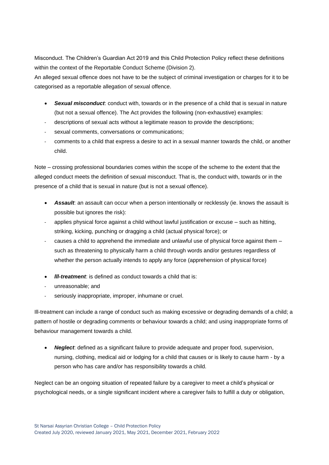Misconduct. The Children's Guardian Act 2019 and this Child Protection Policy reflect these definitions within the context of the Reportable Conduct Scheme (Division 2).

An alleged sexual offence does not have to be the subject of criminal investigation or charges for it to be categorised as a reportable allegation of sexual offence.

- *Sexual misconduct*: conduct with, towards or in the presence of a child that is sexual in nature (but not a sexual offence). The Act provides the following (non-exhaustive) examples:
- descriptions of sexual acts without a legitimate reason to provide the descriptions;
- sexual comments, conversations or communications;
- comments to a child that express a desire to act in a sexual manner towards the child, or another child.

Note – crossing professional boundaries comes within the scope of the scheme to the extent that the alleged conduct meets the definition of sexual misconduct. That is, the conduct with, towards or in the presence of a child that is sexual in nature (but is not a sexual offence).

- *Assault*: an assault can occur when a person intentionally or recklessly (ie. knows the assault is possible but ignores the risk):
- applies physical force against a child without lawful justification or excuse such as hitting, striking, kicking, punching or dragging a child (actual physical force); or
- causes a child to apprehend the immediate and unlawful use of physical force against them  $$ such as threatening to physically harm a child through words and/or gestures regardless of whether the person actually intends to apply any force (apprehension of physical force)
- *lll-treatment*: is defined as conduct towards a child that is:
- unreasonable; and
- seriously inappropriate, improper, inhumane or cruel.

Ill-treatment can include a range of conduct such as making excessive or degrading demands of a child; a pattern of hostile or degrading comments or behaviour towards a child; and using inappropriate forms of behaviour management towards a child.

• *Neglect*: defined as a significant failure to provide adequate and proper food, supervision, nursing, clothing, medical aid or lodging for a child that causes or is likely to cause harm - by a person who has care and/or has responsibility towards a child.

Neglect can be an ongoing situation of repeated failure by a caregiver to meet a child's physical or psychological needs, or a single significant incident where a caregiver fails to fulfill a duty or obligation,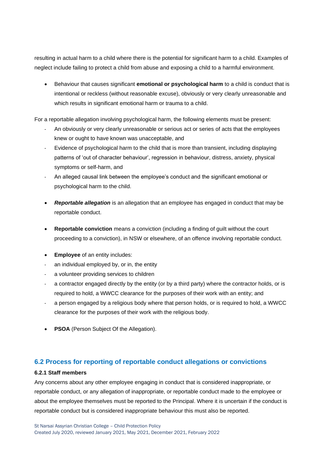resulting in actual harm to a child where there is the potential for significant harm to a child. Examples of neglect include failing to protect a child from abuse and exposing a child to a harmful environment.

• Behaviour that causes significant **emotional or psychological harm** to a child is conduct that is intentional or reckless (without reasonable excuse), obviously or very clearly unreasonable and which results in significant emotional harm or trauma to a child.

For a reportable allegation involving psychological harm, the following elements must be present:

- An obviously or very clearly unreasonable or serious act or series of acts that the employees knew or ought to have known was unacceptable, and
- Evidence of psychological harm to the child that is more than transient, including displaying patterns of 'out of character behaviour', regression in behaviour, distress, anxiety, physical symptoms or self-harm, and
- An alleged causal link between the employee's conduct and the significant emotional or psychological harm to the child.
- *Reportable allegation* is an allegation that an employee has engaged in conduct that may be reportable conduct.
- **Reportable conviction** means a conviction (including a finding of guilt without the court proceeding to a conviction), in NSW or elsewhere, of an offence involving reportable conduct.
- **Employee** of an entity includes:
- an individual employed by, or in, the entity
- a volunteer providing services to children
- a contractor engaged directly by the entity (or by a third party) where the contractor holds, or is required to hold, a WWCC clearance for the purposes of their work with an entity; and
- a person engaged by a religious body where that person holds, or is required to hold, a WWCC clearance for the purposes of their work with the religious body.
- **PSOA** (Person Subject Of the Allegation).

# **6.2 Process for reporting of reportable conduct allegations or convictions**

#### **6.2.1 Staff members**

Any concerns about any other employee engaging in conduct that is considered inappropriate, or reportable conduct, or any allegation of inappropriate, or reportable conduct made to the employee or about the employee themselves must be reported to the Principal. Where it is uncertain if the conduct is reportable conduct but is considered inappropriate behaviour this must also be reported.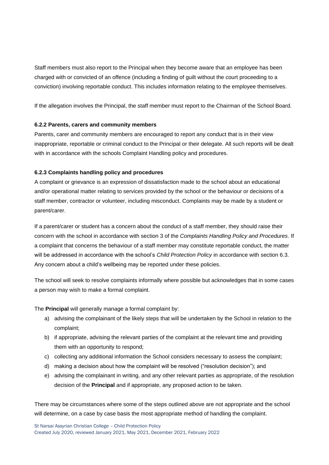Staff members must also report to the Principal when they become aware that an employee has been charged with or convicted of an offence (including a finding of guilt without the court proceeding to a conviction) involving reportable conduct. This includes information relating to the employee themselves.

If the allegation involves the Principal, the staff member must report to the Chairman of the School Board.

#### **6.2.2 Parents, carers and community members**

Parents, carer and community members are encouraged to report any conduct that is in their view inappropriate, reportable or criminal conduct to the Principal or their delegate. All such reports will be dealt with in accordance with the schools Complaint Handling policy and procedures.

#### **6.2.3 Complaints handling policy and procedures**

A complaint or grievance is an expression of dissatisfaction made to the school about an educational and/or operational matter relating to services provided by the school or the behaviour or decisions of a staff member, contractor or volunteer, including misconduct. Complaints may be made by a student or parent/carer.

If a parent/carer or student has a concern about the conduct of a staff member, they should raise their concern with the school in accordance with section 3 of the *Complaints Handling Policy and Procedures*. If a complaint that concerns the behaviour of a staff member may constitute reportable conduct, the matter will be addressed in accordance with the school's *Child Protection Policy* in accordance with section 6.3. Any concern about a child's wellbeing may be reported under these policies.

The school will seek to resolve complaints informally where possible but acknowledges that in some cases a person may wish to make a formal complaint.

The **Principal** will generally manage a formal complaint by:

- a) advising the complainant of the likely steps that will be undertaken by the School in relation to the complaint;
- b) if appropriate, advising the relevant parties of the complaint at the relevant time and providing them with an opportunity to respond;
- c) collecting any additional information the School considers necessary to assess the complaint;
- d) making a decision about how the complaint will be resolved ("resolution decision"); and
- e) advising the complainant in writing, and any other relevant parties as appropriate, of the resolution decision of the **Principal** and if appropriate, any proposed action to be taken.

There may be circumstances where some of the steps outlined above are not appropriate and the school will determine, on a case by case basis the most appropriate method of handling the complaint.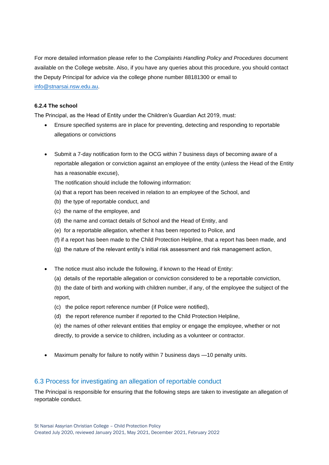For more detailed information please refer to the *Complaints Handling Policy and Procedures* document available on the College website. Also, if you have any queries about this procedure, you should contact the Deputy Principal for advice via the college phone number 88181300 or email to [info@stnarsai.nsw.edu.au.](mailto:info@stnarsai.nsw.edu.au)

#### **6.2.4 The school**

The Principal, as the Head of Entity under the Children's Guardian Act 2019, must:

- Ensure specified systems are in place for preventing, detecting and responding to reportable allegations or convictions
- Submit a 7-day notification form to the OCG within 7 business days of becoming aware of a reportable allegation or conviction against an employee of the entity (unless the Head of the Entity has a reasonable excuse),

The notification should include the following information:

- (a) that a report has been received in relation to an employee of the School, and
- (b) the type of reportable conduct, and
- (c) the name of the employee, and
- (d) the name and contact details of School and the Head of Entity, and
- (e) for a reportable allegation, whether it has been reported to Police, and
- (f) if a report has been made to the Child Protection Helpline, that a report has been made, and
- (g) the nature of the relevant entity's initial risk assessment and risk management action,
- The notice must also include the following, if known to the Head of Entity:
	- (a) details of the reportable allegation or conviction considered to be a reportable conviction,
	- (b) the date of birth and working with children number, if any, of the employee the subject of the report,
	- (c) the police report reference number (if Police were notified),
	- (d) the report reference number if reported to the Child Protection Helpline,
	- (e) the names of other relevant entities that employ or engage the employee, whether or not directly, to provide a service to children, including as a volunteer or contractor.
- Maximum penalty for failure to notify within 7 business days —10 penalty units.

### 6.3 Process for investigating an allegation of reportable conduct

The Principal is responsible for ensuring that the following steps are taken to investigate an allegation of reportable conduct.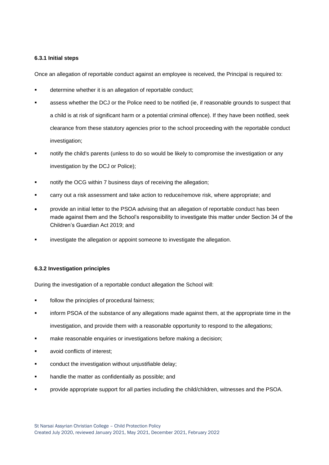#### **6.3.1 Initial steps**

Once an allegation of reportable conduct against an employee is received, the Principal is required to:

- determine whether it is an allegation of reportable conduct;
- assess whether the DCJ or the Police need to be notified (ie, if reasonable grounds to suspect that a child is at risk of significant harm or a potential criminal offence). If they have been notified, seek clearance from these statutory agencies prior to the school proceeding with the reportable conduct investigation;
- notify the child's parents (unless to do so would be likely to compromise the investigation or any investigation by the DCJ or Police);
- notify the OCG within 7 business days of receiving the allegation;
- carry out a risk assessment and take action to reduce/remove risk, where appropriate; and
- provide an initial letter to the PSOA advising that an allegation of reportable conduct has been made against them and the School's responsibility to investigate this matter under Section 34 of the Children's Guardian Act 2019; and
- investigate the allegation or appoint someone to investigate the allegation.

#### **6.3.2 Investigation principles**

During the investigation of a reportable conduct allegation the School will:

- follow the principles of procedural fairness:
- inform PSOA of the substance of any allegations made against them, at the appropriate time in the investigation, and provide them with a reasonable opportunity to respond to the allegations;
- make reasonable enquiries or investigations before making a decision;
- avoid conflicts of interest:
- conduct the investigation without unjustifiable delay;
- handle the matter as confidentially as possible; and
- provide appropriate support for all parties including the child/children, witnesses and the PSOA.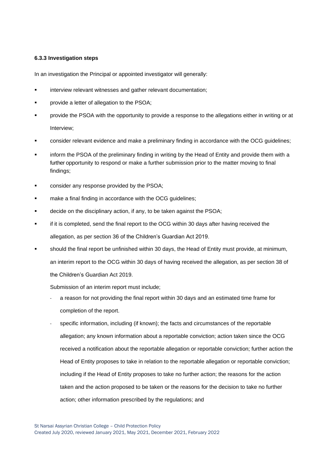#### **6.3.3 Investigation steps**

In an investigation the Principal or appointed investigator will generally:

- interview relevant witnesses and gather relevant documentation;
- provide a letter of allegation to the PSOA;
- **•** provide the PSOA with the opportunity to provide a response to the allegations either in writing or at Interview;
- consider relevant evidence and make a preliminary finding in accordance with the OCG guidelines;
- inform the PSOA of the preliminary finding in writing by the Head of Entity and provide them with a further opportunity to respond or make a further submission prior to the matter moving to final findings;
- consider any response provided by the PSOA;
- make a final finding in accordance with the OCG quidelines;
- decide on the disciplinary action, if any, to be taken against the PSOA;
- if it is completed, send the final report to the OCG within 30 days after having received the allegation, as per section 36 of the Children's Guardian Act 2019.
- should the final report be unfinished within 30 days, the Head of Entity must provide, at minimum, an interim report to the OCG within 30 days of having received the allegation, as per section 38 of the Children's Guardian Act 2019.

Submission of an interim report must include;

- a reason for not providing the final report within 30 days and an estimated time frame for completion of the report.
- specific information, including (if known); the facts and circumstances of the reportable allegation; any known information about a reportable conviction; action taken since the OCG received a notification about the reportable allegation or reportable conviction; further action the Head of Entity proposes to take in relation to the reportable allegation or reportable conviction; including if the Head of Entity proposes to take no further action; the reasons for the action taken and the action proposed to be taken or the reasons for the decision to take no further action; other information prescribed by the regulations; and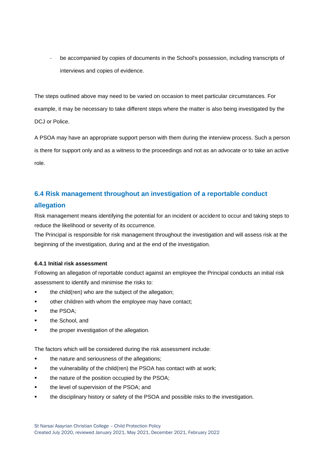be accompanied by copies of documents in the School's possession, including transcripts of interviews and copies of evidence.

The steps outlined above may need to be varied on occasion to meet particular circumstances. For example, it may be necessary to take different steps where the matter is also being investigated by the DCJ or Police.

A PSOA may have an appropriate support person with them during the interview process. Such a person is there for support only and as a witness to the proceedings and not as an advocate or to take an active role.

# **6.4 Risk management throughout an investigation of a reportable conduct**

# **allegation**

Risk management means identifying the potential for an incident or accident to occur and taking steps to reduce the likelihood or severity of its occurrence.

The Principal is responsible for risk management throughout the investigation and will assess risk at the beginning of the investigation, during and at the end of the investigation.

### **6.4.1 Initial risk assessment**

Following an allegation of reportable conduct against an employee the Principal conducts an initial risk assessment to identify and minimise the risks to:

- the child(ren) who are the subject of the allegation;
- **•** other children with whom the employee may have contact;
- the PSOA;
- the School, and
- the proper investigation of the allegation.

The factors which will be considered during the risk assessment include:

- the nature and seriousness of the allegations;
- the vulnerability of the child(ren) the PSOA has contact with at work;
- the nature of the position occupied by the PSOA;
- the level of supervision of the PSOA; and
- the disciplinary history or safety of the PSOA and possible risks to the investigation.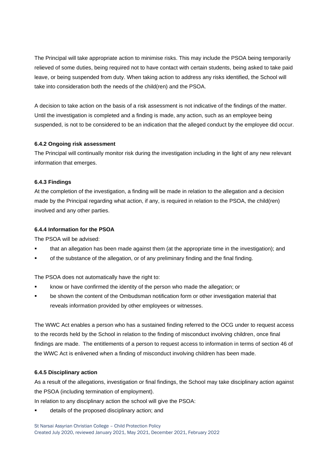The Principal will take appropriate action to minimise risks. This may include the PSOA being temporarily relieved of some duties, being required not to have contact with certain students, being asked to take paid leave, or being suspended from duty. When taking action to address any risks identified, the School will take into consideration both the needs of the child(ren) and the PSOA.

A decision to take action on the basis of a risk assessment is not indicative of the findings of the matter. Until the investigation is completed and a finding is made, any action, such as an employee being suspended, is not to be considered to be an indication that the alleged conduct by the employee did occur.

#### **6.4.2 Ongoing risk assessment**

The Principal will continually monitor risk during the investigation including in the light of any new relevant information that emerges.

#### **6.4.3 Findings**

At the completion of the investigation, a finding will be made in relation to the allegation and a decision made by the Principal regarding what action, if any, is required in relation to the PSOA, the child(ren) involved and any other parties.

#### **6.4.4 Information for the PSOA**

The PSOA will be advised:

- that an allegation has been made against them (at the appropriate time in the investigation); and
- **•** of the substance of the allegation, or of any preliminary finding and the final finding.

The PSOA does not automatically have the right to:

- know or have confirmed the identity of the person who made the allegation; or
- be shown the content of the Ombudsman notification form or other investigation material that reveals information provided by other employees or witnesses.

The WWC Act enables a person who has a sustained finding referred to the OCG under to request access to the records held by the School in relation to the finding of misconduct involving children, once final findings are made. The entitlements of a person to request access to information in terms of section 46 of the WWC Act is enlivened when a finding of misconduct involving children has been made.

#### **6.4.5 Disciplinary action**

As a result of the allegations, investigation or final findings, the School may take disciplinary action against the PSOA (including termination of employment).

In relation to any disciplinary action the school will give the PSOA:

details of the proposed disciplinary action; and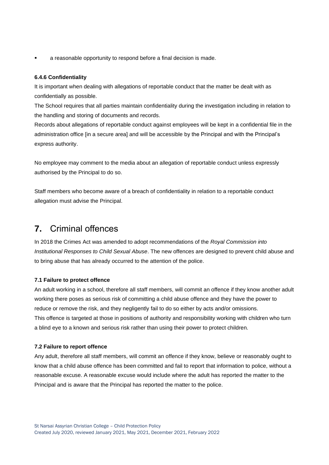a reasonable opportunity to respond before a final decision is made.

#### **6.4.6 Confidentiality**

It is important when dealing with allegations of reportable conduct that the matter be dealt with as confidentially as possible.

The School requires that all parties maintain confidentiality during the investigation including in relation to the handling and storing of documents and records.

Records about allegations of reportable conduct against employees will be kept in a confidential file in the administration office [in a secure area] and will be accessible by the Principal and with the Principal's express authority.

No employee may comment to the media about an allegation of reportable conduct unless expressly authorised by the Principal to do so.

Staff members who become aware of a breach of confidentiality in relation to a reportable conduct allegation must advise the Principal.

# <span id="page-22-0"></span>**7.** Criminal offences

In 2018 the Crimes Act was amended to adopt recommendations of the *Royal Commission into Institutional Responses to Child Sexual Abuse*. The new offences are designed to prevent child abuse and to bring abuse that has already occurred to the attention of the police.

#### **7.1 Failure to protect offence**

An adult working in a school, therefore all staff members, will commit an offence if they know another adult working there poses as serious risk of committing a child abuse offence and they have the power to reduce or remove the risk, and they negligently fail to do so either by acts and/or omissions. This offence is targeted at those in positions of authority and responsibility working with children who turn a blind eye to a known and serious risk rather than using their power to protect children.

#### **7.2 Failure to report offence**

Any adult, therefore all staff members, will commit an offence if they know, believe or reasonably ought to know that a child abuse offence has been committed and fail to report that information to police, without a reasonable excuse. A reasonable excuse would include where the adult has reported the matter to the Principal and is aware that the Principal has reported the matter to the police.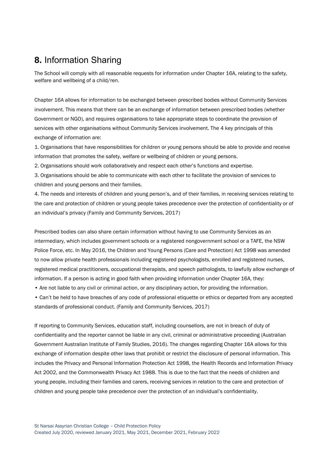# **8.** Information Sharing

The School will comply with all reasonable requests for information under Chapter 16A, relating to the safety, welfare and wellbeing of a child/ren.

Chapter 16A allows for information to be exchanged between prescribed bodies without Community Services involvement. This means that there can be an exchange of information between prescribed bodies (whether Government or NGO), and requires organisations to take appropriate steps to coordinate the provision of services with other organisations without Community Services involvement. The 4 key principals of this exchange of information are:

1. Organisations that have responsibilities for children or young persons should be able to provide and receive information that promotes the safety, welfare or wellbeing of children or young persons.

2. Organisations should work collaboratively and respect each other's functions and expertise.

3. Organisations should be able to communicate with each other to facilitate the provision of services to children and young persons and their families.

4. The needs and interests of children and young person's, and of their families, in receiving services relating to the care and protection of children or young people takes precedence over the protection of confidentiality or of an individual's privacy (Family and Community Services, 2017)

Prescribed bodies can also share certain information without having to use Community Services as an intermediary, which includes government schools or a registered nongovernment school or a TAFE, the NSW Police Force, etc. In May 2016, the Children and Young Persons (Care and Protection) Act 1998 was amended to now allow private health professionals including registered psychologists, enrolled and registered nurses, registered medical practitioners, occupational therapists, and speech pathologists, to lawfully allow exchange of information. If a person is acting in good faith when providing information under Chapter 16A, they:

• Are not liable to any civil or criminal action, or any disciplinary action, for providing the information.

• Can't be held to have breaches of any code of professional etiquette or ethics or departed from any accepted standards of professional conduct. (Family and Community Services, 2017)

If reporting to Community Services, education staff, including counsellors, are not in breach of duty of confidentiality and the reporter cannot be liable in any civil, criminal or administrative proceeding (Australian Government Australian Institute of Family Studies, 2016). The changes regarding Chapter 16A allows for this exchange of information despite other laws that prohibit or restrict the disclosure of personal information. This includes the Privacy and Personal Information Protection Act 1998, the Health Records and Information Privacy Act 2002, and the Commonwealth Privacy Act 1988. This is due to the fact that the needs of children and young people, including their families and carers, receiving services in relation to the care and protection of children and young people take precedence over the protection of an individual's confidentiality.